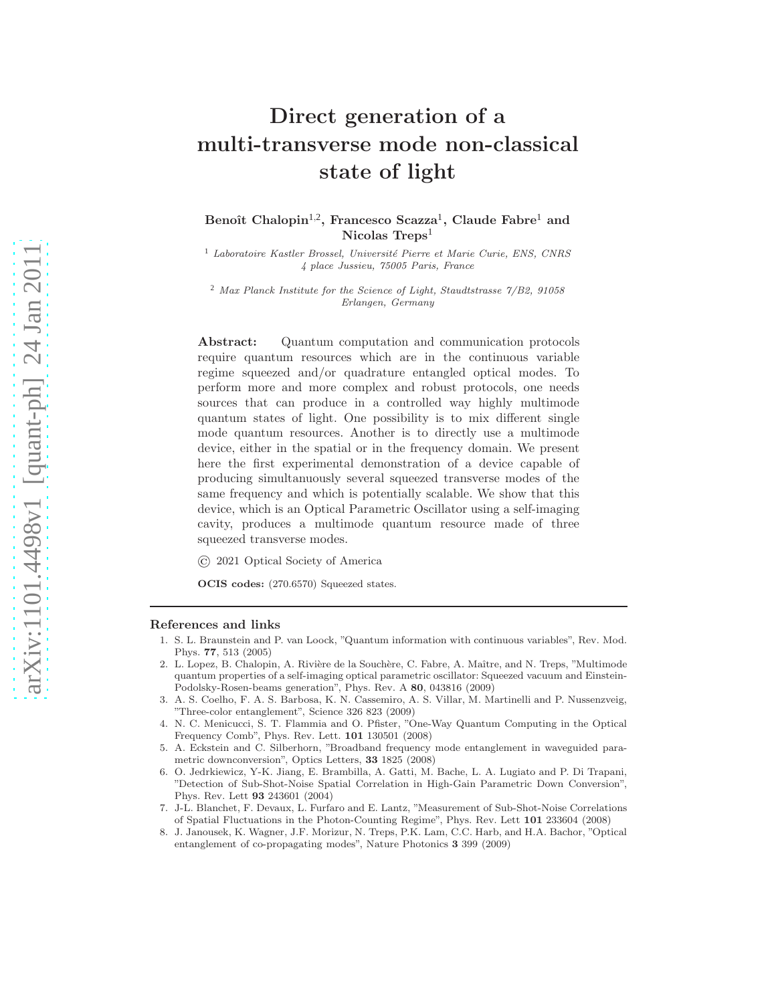## Direct generation of a multi-transverse mode non-classical state of light

Benoît Chalopin<sup>1,2</sup>, Francesco Scazza<sup>1</sup>, Claude Fabre<sup>1</sup> and Nicolas Treps<sup>1</sup>

<sup>1</sup> Laboratoire Kastler Brossel, Université Pierre et Marie Curie, ENS, CNRS 4 place Jussieu, 75005 Paris, France

 $2$  Max Planck Institute for the Science of Light, Staudtstrasse  $7/B2$ , 91058 Erlangen, Germany

Abstract: Quantum computation and communication protocols require quantum resources which are in the continuous variable regime squeezed and/or quadrature entangled optical modes. To perform more and more complex and robust protocols, one needs sources that can produce in a controlled way highly multimode quantum states of light. One possibility is to mix different single mode quantum resources. Another is to directly use a multimode device, either in the spatial or in the frequency domain. We present here the first experimental demonstration of a device capable of producing simultanuously several squeezed transverse modes of the same frequency and which is potentially scalable. We show that this device, which is an Optical Parametric Oscillator using a self-imaging cavity, produces a multimode quantum resource made of three squeezed transverse modes.

© 2021 Optical Society of America

OCIS codes: (270.6570) Squeezed states.

## References and links

- 1. S. L. Braunstein and P. van Loock, "Quantum information with continuous variables", Rev. Mod. Phys. 77, 513 (2005)
- <span id="page-0-6"></span>2. L. Lopez, B. Chalopin, A. Rivière de la Souchère, C. Fabre, A. Maître, and N. Treps, "Multimode quantum properties of a self-imaging optical parametric oscillator: Squeezed vacuum and Einstein-Podolsky-Rosen-beams generation", Phys. Rev. A 80, 043816 (2009)
- <span id="page-0-0"></span>3. A. S. Coelho, F. A. S. Barbosa, K. N. Cassemiro, A. S. Villar, M. Martinelli and P. Nussenzveig, "Three-color entanglement", Science 326 823 (2009)
- <span id="page-0-1"></span>4. N. C. Menicucci, S. T. Flammia and O. Pfister, "One-Way Quantum Computing in the Optical Frequency Comb", Phys. Rev. Lett. 101 130501 (2008)
- <span id="page-0-2"></span>5. A. Eckstein and C. Silberhorn, "Broadband frequency mode entanglement in waveguided parametric downconversion", Optics Letters, 33 1825 (2008)
- <span id="page-0-3"></span>6. O. Jedrkiewicz, Y-K. Jiang, E. Brambilla, A. Gatti, M. Bache, L. A. Lugiato and P. Di Trapani, "Detection of Sub-Shot-Noise Spatial Correlation in High-Gain Parametric Down Conversion", Phys. Rev. Lett 93 243601 (2004)
- <span id="page-0-4"></span>7. J-L. Blanchet, F. Devaux, L. Furfaro and E. Lantz, "Measurement of Sub-Shot-Noise Correlations of Spatial Fluctuations in the Photon-Counting Regime", Phys. Rev. Lett 101 233604 (2008)
- <span id="page-0-5"></span>8. J. Janousek, K. Wagner, J.F. Morizur, N. Treps, P.K. Lam, C.C. Harb, and H.A. Bachor, "Optical entanglement of co-propagating modes", Nature Photonics 3 399 (2009)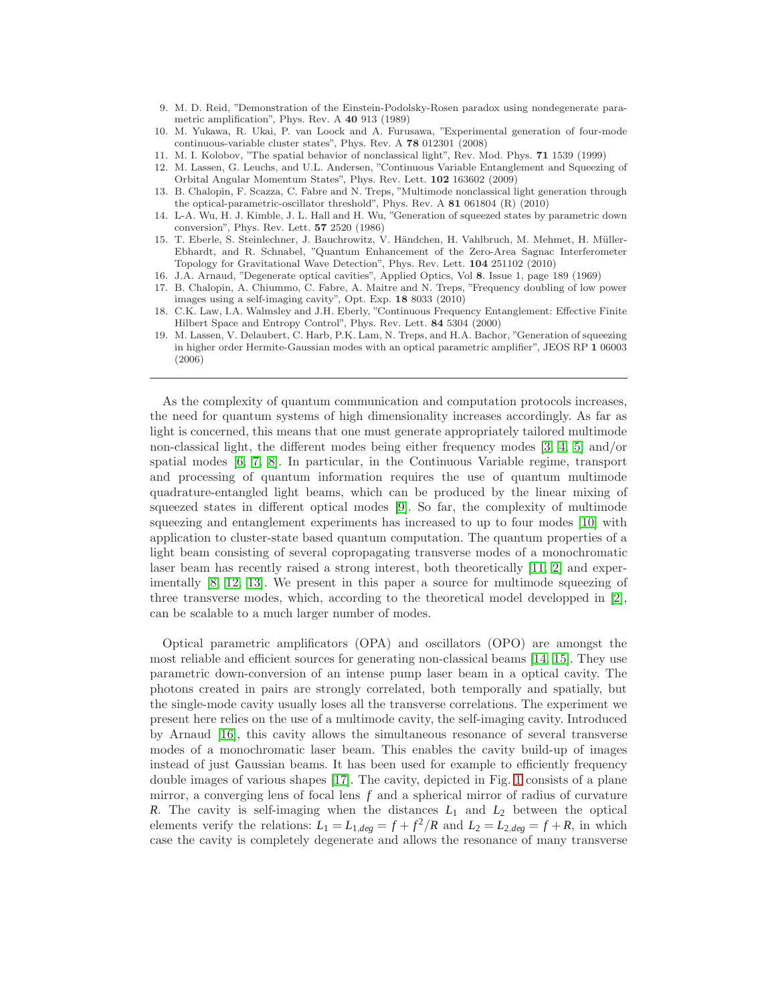- <span id="page-1-0"></span>9. M. D. Reid, "Demonstration of the Einstein-Podolsky-Rosen paradox using nondegenerate parametric amplification", Phys. Rev. A 40 913 (1989)
- <span id="page-1-1"></span>10. M. Yukawa, R. Ukai, P. van Loock and A. Furusawa, "Experimental generation of four-mode continuous-variable cluster states", Phys. Rev. A 78 012301 (2008)
- <span id="page-1-2"></span>11. M. I. Kolobov, "The spatial behavior of nonclassical light", Rev. Mod. Phys. 71 1539 (1999)
- <span id="page-1-3"></span>12. M. Lassen, G. Leuchs, and U.L. Andersen, "Continuous Variable Entanglement and Squeezing of Orbital Angular Momentum States", Phys. Rev. Lett. 102 163602 (2009)
- <span id="page-1-4"></span>13. B. Chalopin, F. Scazza, C. Fabre and N. Treps, "Multimode nonclassical light generation through the optical-parametric-oscillator threshold", Phys. Rev. A 81 061804 (R) (2010)
- <span id="page-1-5"></span>14. L-A. Wu, H. J. Kimble, J. L. Hall and H. Wu, "Generation of squeezed states by parametric down conversion", Phys. Rev. Lett. 57 2520 (1986)
- <span id="page-1-6"></span>15. T. Eberle, S. Steinlechner, J. Bauchrowitz, V. Händchen, H. Vahlbruch, M. Mehmet, H. Müller-Ebhardt, and R. Schnabel, "Quantum Enhancement of the Zero-Area Sagnac Interferometer Topology for Gravitational Wave Detection", Phys. Rev. Lett. 104 251102 (2010)
- <span id="page-1-8"></span><span id="page-1-7"></span>16. J.A. Arnaud, "Degenerate optical cavities", Applied Optics, Vol 8. Issue 1, page 189 (1969)
- 17. B. Chalopin, A. Chiummo, C. Fabre, A. Maitre and N. Treps, "Frequency doubling of low power images using a self-imaging cavity", Opt. Exp. 18 8033 (2010)
- <span id="page-1-9"></span>18. C.K. Law, I.A. Walmsley and J.H. Eberly, "Continuous Frequency Entanglement: Effective Finite Hilbert Space and Entropy Control", Phys. Rev. Lett. 84 5304 (2000)
- <span id="page-1-10"></span>19. M. Lassen, V. Delaubert, C. Harb, P.K. Lam, N. Treps, and H.A. Bachor, "Generation of squeezing in higher order Hermite-Gaussian modes with an optical parametric amplifier", JEOS RP 1 06003 (2006)

As the complexity of quantum communication and computation protocols increases, the need for quantum systems of high dimensionality increases accordingly. As far as light is concerned, this means that one must generate appropriately tailored multimode non-classical light, the different modes being either frequency modes [\[3,](#page-0-0) [4,](#page-0-1) [5\]](#page-0-2) and/or spatial modes [\[6,](#page-0-3) [7,](#page-0-4) [8\]](#page-0-5). In particular, in the Continuous Variable regime, transport and processing of quantum information requires the use of quantum multimode quadrature-entangled light beams, which can be produced by the linear mixing of squeezed states in different optical modes [\[9\]](#page-1-0). So far, the complexity of multimode squeezing and entanglement experiments has increased to up to four modes [\[10\]](#page-1-1) with application to cluster-state based quantum computation. The quantum properties of a light beam consisting of several copropagating transverse modes of a monochromatic laser beam has recently raised a strong interest, both theoretically [\[11,](#page-1-2) [2\]](#page-0-6) and experimentally [\[8,](#page-0-5) [12,](#page-1-3) [13\]](#page-1-4). We present in this paper a source for multimode squeezing of three transverse modes, which, according to the theoretical model developped in [\[2\]](#page-0-6), can be scalable to a much larger number of modes.

Optical parametric amplificators (OPA) and oscillators (OPO) are amongst the most reliable and efficient sources for generating non-classical beams [\[14,](#page-1-5) [15\]](#page-1-6). They use parametric down-conversion of an intense pump laser beam in a optical cavity. The photons created in pairs are strongly correlated, both temporally and spatially, but the single-mode cavity usually loses all the transverse correlations. The experiment we present here relies on the use of a multimode cavity, the self-imaging cavity. Introduced by Arnaud [\[16\]](#page-1-7), this cavity allows the simultaneous resonance of several transverse modes of a monochromatic laser beam. This enables the cavity build-up of images instead of just Gaussian beams. It has been used for example to efficiently frequency double images of various shapes [\[17\]](#page-1-8). The cavity, depicted in Fig. [1](#page-2-0) consists of a plane mirror, a converging lens of focal lens *f* and a spherical mirror of radius of curvature *R*. The cavity is self-imaging when the distances *L*<sup>1</sup> and *L*<sup>2</sup> between the optical elements verify the relations:  $L_1 = L_{1,deg} = f + f^2/R$  and  $L_2 = L_{2,deg} = f + R$ , in which case the cavity is completely degenerate and allows the resonance of many transverse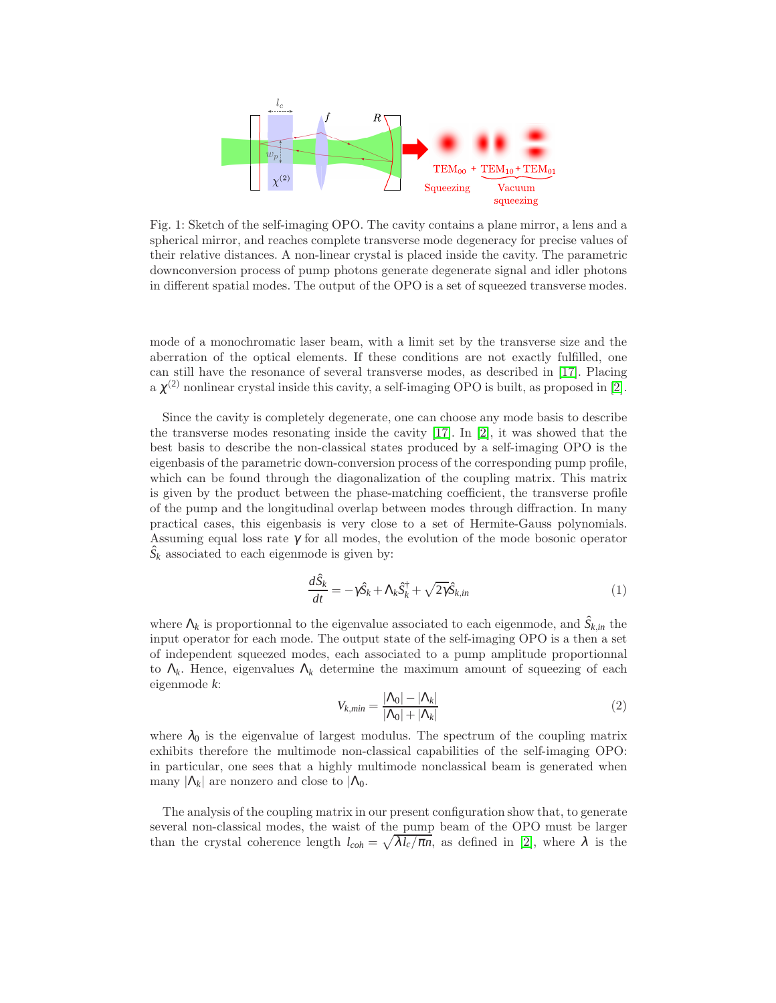<span id="page-2-0"></span>

Fig. 1: Sketch of the self-imaging OPO. The cavity contains a plane mirror, a lens and a spherical mirror, and reaches complete transverse mode degeneracy for precise values of their relative distances. A non-linear crystal is placed inside the cavity. The parametric downconversion process of pump photons generate degenerate signal and idler photons in different spatial modes. The output of the OPO is a set of squeezed transverse modes.

mode of a monochromatic laser beam, with a limit set by the transverse size and the aberration of the optical elements. If these conditions are not exactly fulfilled, one can still have the resonance of several transverse modes, as described in [\[17\]](#page-1-8). Placing a  $\chi^{(2)}$  nonlinear crystal inside this cavity, a self-imaging OPO is built, as proposed in [\[2\]](#page-0-6).

Since the cavity is completely degenerate, one can choose any mode basis to describe the transverse modes resonating inside the cavity [\[17\]](#page-1-8). In [\[2\]](#page-0-6), it was showed that the best basis to describe the non-classical states produced by a self-imaging OPO is the eigenbasis of the parametric down-conversion process of the corresponding pump profile, which can be found through the diagonalization of the coupling matrix. This matrix is given by the product between the phase-matching coefficient, the transverse profile of the pump and the longitudinal overlap between modes through diffraction. In many practical cases, this eigenbasis is very close to a set of Hermite-Gauss polynomials. Assuming equal loss rate  $\gamma$  for all modes, the evolution of the mode bosonic operator  $\hat{S}_k$  associated to each eigenmode is given by:

$$
\frac{d\hat{S}_k}{dt} = -\gamma \hat{S}_k + \Lambda_k \hat{S}_k^{\dagger} + \sqrt{2\gamma} \hat{S}_{k,in}
$$
\n(1)

where  $\Lambda_k$  is proportionnal to the eigenvalue associated to each eigenmode, and  $\hat{S}_{k,in}$  the input operator for each mode. The output state of the self-imaging OPO is a then a set of independent squeezed modes, each associated to a pump amplitude proportionnal to  $\Lambda_k$ . Hence, eigenvalues  $\Lambda_k$  determine the maximum amount of squeezing of each eigenmode *k*:

$$
V_{k,min} = \frac{|\Lambda_0| - |\Lambda_k|}{|\Lambda_0| + |\Lambda_k|} \tag{2}
$$

where  $\lambda_0$  is the eigenvalue of largest modulus. The spectrum of the coupling matrix exhibits therefore the multimode non-classical capabilities of the self-imaging OPO: in particular, one sees that a highly multimode nonclassical beam is generated when many  $|\Lambda_k|$  are nonzero and close to  $|\Lambda_0|$ .

The analysis of the coupling matrix in our present configuration show that, to generate several non-classical modes, the waist of the pump beam of the OPO must be larger than the crystal coherence length  $l_{coh} = \sqrt{\lambda l_c / \pi n}$ , as defined in [\[2\]](#page-0-6), where  $\lambda$  is the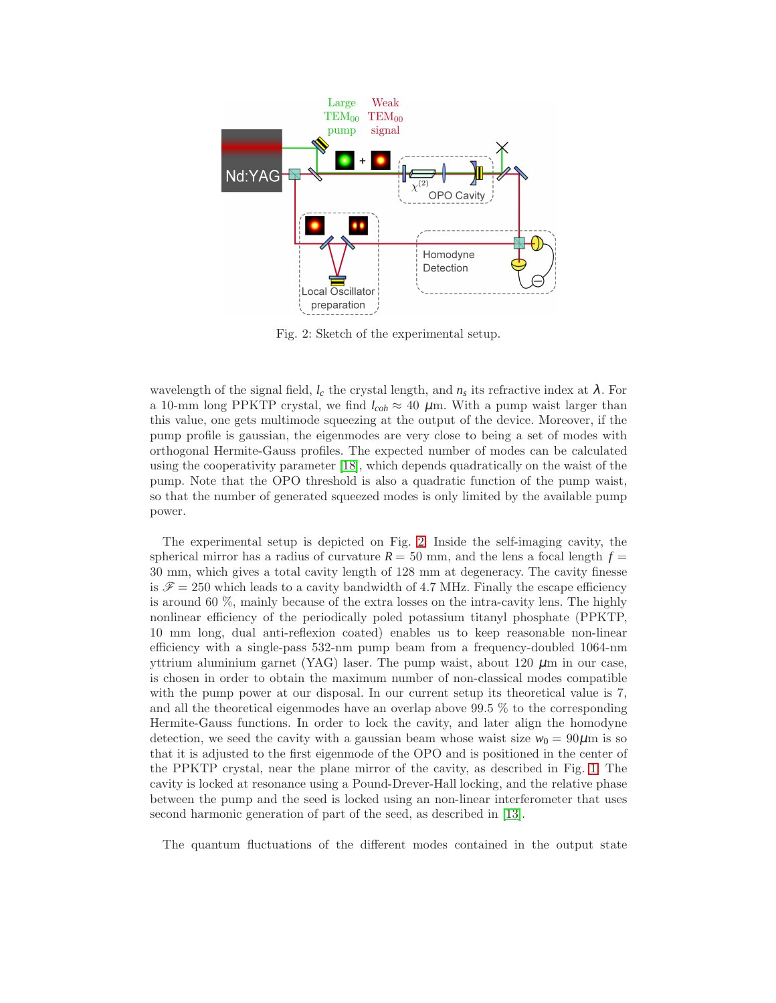<span id="page-3-0"></span>

Fig. 2: Sketch of the experimental setup.

wavelength of the signal field,  $l_c$  the crystal length, and  $n_s$  its refractive index at  $\lambda$ . For a 10-mm long PPKTP crystal, we find  $l_{coh} \approx 40 \mu$ m. With a pump waist larger than this value, one gets multimode squeezing at the output of the device. Moreover, if the pump profile is gaussian, the eigenmodes are very close to being a set of modes with orthogonal Hermite-Gauss profiles. The expected number of modes can be calculated using the cooperativity parameter [\[18\]](#page-1-9), which depends quadratically on the waist of the pump. Note that the OPO threshold is also a quadratic function of the pump waist, so that the number of generated squeezed modes is only limited by the available pump power.

The experimental setup is depicted on Fig. [2.](#page-3-0) Inside the self-imaging cavity, the spherical mirror has a radius of curvature  $R = 50$  mm, and the lens a focal length  $f =$ 30 mm, which gives a total cavity length of 128 mm at degeneracy. The cavity finesse is  $\mathscr{F} = 250$  which leads to a cavity bandwidth of 4.7 MHz. Finally the escape efficiency is around 60 %, mainly because of the extra losses on the intra-cavity lens. The highly nonlinear efficiency of the periodically poled potassium titanyl phosphate (PPKTP, 10 mm long, dual anti-reflexion coated) enables us to keep reasonable non-linear efficiency with a single-pass 532-nm pump beam from a frequency-doubled 1064-nm yttrium aluminium garnet (YAG) laser. The pump waist, about  $120 \mu m$  in our case, is chosen in order to obtain the maximum number of non-classical modes compatible with the pump power at our disposal. In our current setup its theoretical value is 7, and all the theoretical eigenmodes have an overlap above 99.5 % to the corresponding Hermite-Gauss functions. In order to lock the cavity, and later align the homodyne detection, we seed the cavity with a gaussian beam whose waist size  $w_0 = 90 \mu m$  is so that it is adjusted to the first eigenmode of the OPO and is positioned in the center of the PPKTP crystal, near the plane mirror of the cavity, as described in Fig. [1.](#page-2-0) The cavity is locked at resonance using a Pound-Drever-Hall locking, and the relative phase between the pump and the seed is locked using an non-linear interferometer that uses second harmonic generation of part of the seed, as described in [\[13\]](#page-1-4).

The quantum fluctuations of the different modes contained in the output state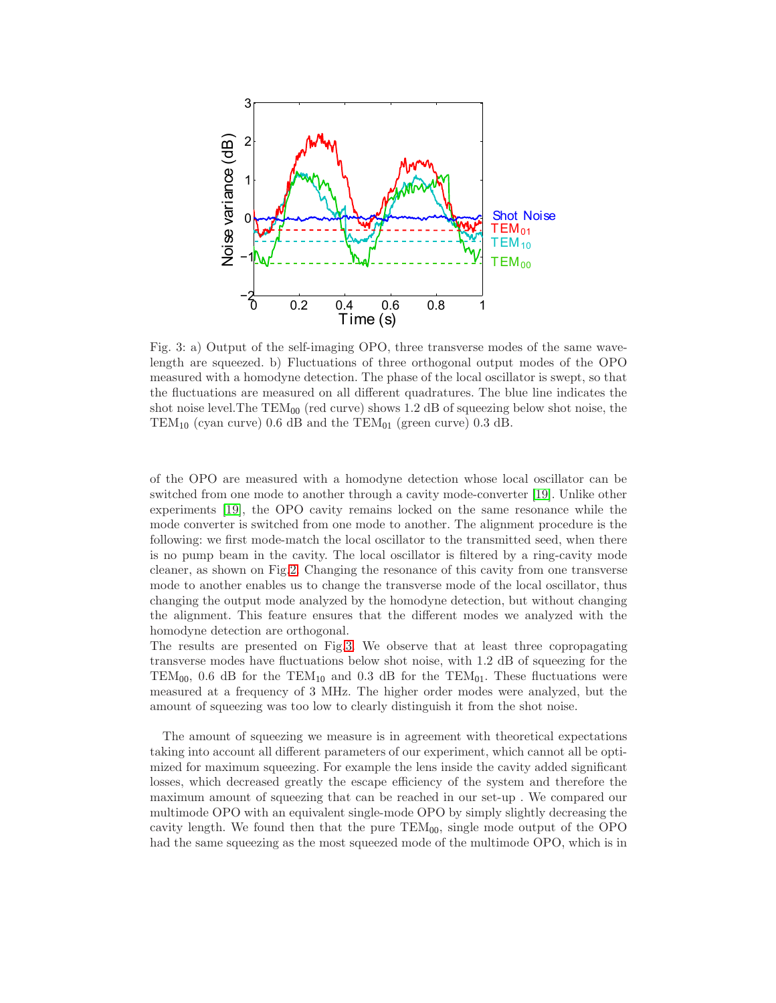<span id="page-4-0"></span>

Fig. 3: a) Output of the self-imaging OPO, three transverse modes of the same wavelength are squeezed. b) Fluctuations of three orthogonal output modes of the OPO measured with a homodyne detection. The phase of the local oscillator is swept, so that the fluctuations are measured on all different quadratures. The blue line indicates the shot noise level. The  $TEM_{00}$  (red curve) shows 1.2 dB of squeezing below shot noise, the TEM<sub>10</sub> (cyan curve) 0.6 dB and the TEM<sub>01</sub> (green curve) 0.3 dB.

of the OPO are measured with a homodyne detection whose local oscillator can be switched from one mode to another through a cavity mode-converter [\[19\]](#page-1-10). Unlike other experiments [\[19\]](#page-1-10), the OPO cavity remains locked on the same resonance while the mode converter is switched from one mode to another. The alignment procedure is the following: we first mode-match the local oscillator to the transmitted seed, when there is no pump beam in the cavity. The local oscillator is filtered by a ring-cavity mode cleaner, as shown on Fig[.2.](#page-3-0) Changing the resonance of this cavity from one transverse mode to another enables us to change the transverse mode of the local oscillator, thus changing the output mode analyzed by the homodyne detection, but without changing the alignment. This feature ensures that the different modes we analyzed with the homodyne detection are orthogonal.

The results are presented on Fig[.3.](#page-4-0) We observe that at least three copropagating transverse modes have fluctuations below shot noise, with 1.2 dB of squeezing for the TEM<sub>00</sub>, 0.6 dB for the TEM<sub>10</sub> and 0.3 dB for the TEM<sub>01</sub>. These fluctuations were measured at a frequency of 3 MHz. The higher order modes were analyzed, but the amount of squeezing was too low to clearly distinguish it from the shot noise.

The amount of squeezing we measure is in agreement with theoretical expectations taking into account all different parameters of our experiment, which cannot all be optimized for maximum squeezing. For example the lens inside the cavity added significant losses, which decreased greatly the escape efficiency of the system and therefore the maximum amount of squeezing that can be reached in our set-up . We compared our multimode OPO with an equivalent single-mode OPO by simply slightly decreasing the cavity length. We found then that the pure  $TEM_{00}$ , single mode output of the OPO had the same squeezing as the most squeezed mode of the multimode OPO, which is in